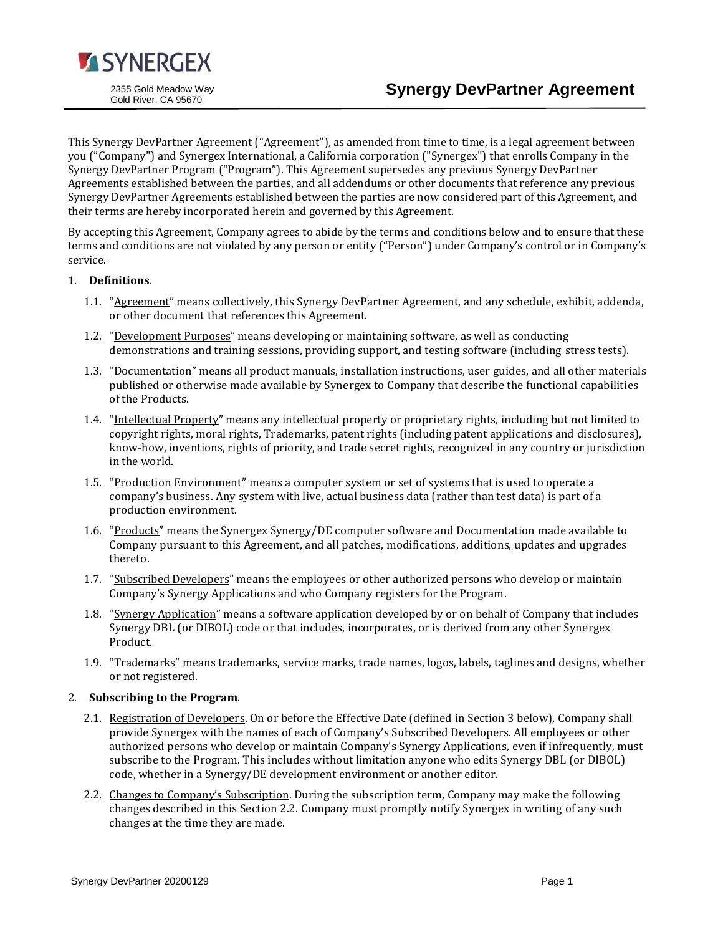

This Synergy DevPartner Agreement ("Agreement"), as amended from time to time, is a legal agreement between you ("Company") and Synergex International, a California corporation ("Synergex") that enrolls Company in the Synergy DevPartner Program ("Program"). This Agreement supersedes any previous Synergy DevPartner Agreements established between the parties, and all addendums or other documents that reference any previous Synergy DevPartner Agreements established between the parties are now considered part of this Agreement, and their terms are hereby incorporated herein and governed by this Agreement.

By accepting this Agreement, Company agrees to abide by the terms and conditions below and to ensure that these terms and conditions are not violated by any person or entity ("Person") under Company's control or in Company's service.

# 1. **Definitions**.

- 1.1. "Agreement" means collectively, this Synergy DevPartner Agreement, and any schedule, exhibit, addenda, or other document that references this Agreement.
- 1.2. "Development Purposes" means developing or maintaining software, as well as conducting demonstrations and training sessions, providing support, and testing software (including stress tests).
- 1.3. "Documentation" means all product manuals, installation instructions, user guides, and all other materials published or otherwise made available by Synergex to Company that describe the functional capabilities of the Products.
- 1.4. "Intellectual Property" means any intellectual property or proprietary rights, including but not limited to copyright rights, moral rights, Trademarks, patent rights (including patent applications and disclosures), know-how, inventions, rights of priority, and trade secret rights, recognized in any country or jurisdiction in the world.
- 1.5. "Production Environment" means a computer system or set of systems that is used to operate a company's business. Any system with live, actual business data (rather than test data) is part of a production environment.
- 1.6. "Products" means the Synergex Synergy/DE computer software and Documentation made available to Company pursuant to this Agreement, and all patches, modifications, additions, updates and upgrades thereto.
- 1.7. "Subscribed Developers" means the employees or other authorized persons who develop or maintain Company's Synergy Applications and who Company registers for the Program.
- 1.8. "Synergy Application" means a software application developed by or on behalf of Company that includes Synergy DBL (or DIBOL) code or that includes, incorporates, or is derived from any other Synergex Product.
- 1.9. "Trademarks" means trademarks, service marks, trade names, logos, labels, taglines and designs, whether or not registered.

# 2. **Subscribing to the Program**.

- 2.1. Registration of Developers. On or before the Effective Date (defined in Section 3 below), Company shall provide Synergex with the names of each of Company's Subscribed Developers. All employees or other authorized persons who develop or maintain Company's Synergy Applications, even if infrequently, must subscribe to the Program. This includes without limitation anyone who edits Synergy DBL (or DIBOL) code, whether in a Synergy/DE development environment or another editor.
- 2.2. Changes to Company's Subscription. During the subscription term, Company may make the following changes described in this Section 2.2. Company must promptly notify Synergex in writing of any such changes at the time they are made.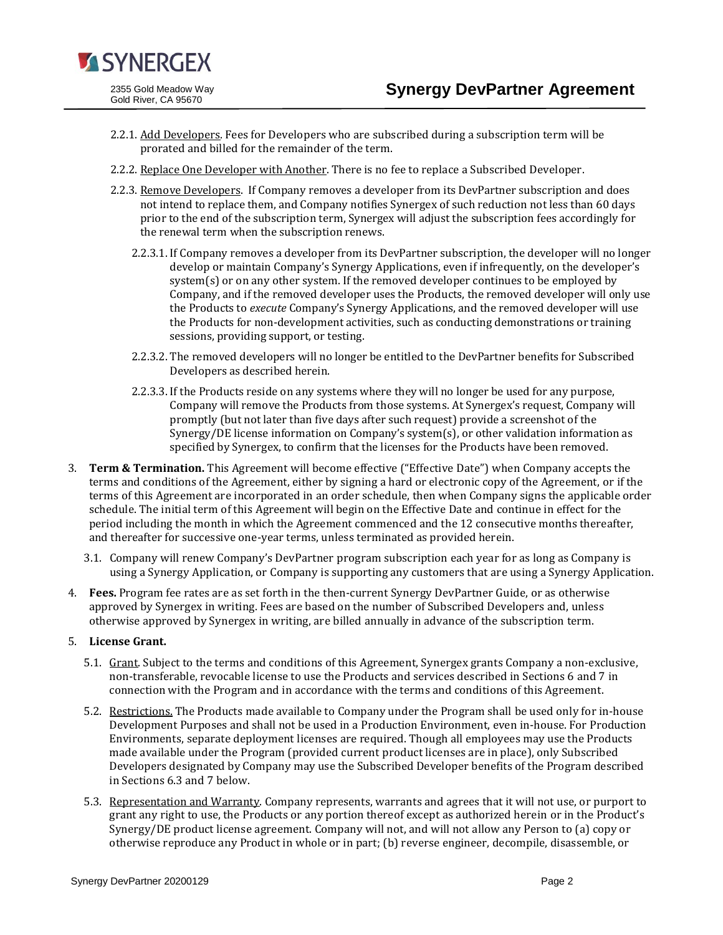

- 2.2.1. Add Developers. Fees for Developers who are subscribed during a subscription term will be prorated and billed for the remainder of the term.
- 2.2.2. Replace One Developer with Another. There is no fee to replace a Subscribed Developer.
- 2.2.3. Remove Developers. If Company removes a developer from its DevPartner subscription and does not intend to replace them, and Company notifies Synergex of such reduction not less than 60 days prior to the end of the subscription term, Synergex will adjust the subscription fees accordingly for the renewal term when the subscription renews.
	- 2.2.3.1. If Company removes a developer from its DevPartner subscription, the developer will no longer develop or maintain Company's Synergy Applications, even if infrequently, on the developer's system(s) or on any other system. If the removed developer continues to be employed by Company, and if the removed developer uses the Products, the removed developer will only use the Products to *execute* Company's Synergy Applications, and the removed developer will use the Products for non-development activities, such as conducting demonstrations or training sessions, providing support, or testing.
	- 2.2.3.2. The removed developers will no longer be entitled to the DevPartner benefits for Subscribed Developers as described herein.
	- 2.2.3.3. If the Products reside on any systems where they will no longer be used for any purpose, Company will remove the Products from those systems. At Synergex's request, Company will promptly (but not later than five days after such request) provide a screenshot of the Synergy/DE license information on Company's system(s), or other validation information as specified by Synergex, to confirm that the licenses for the Products have been removed.
- 3. **Term & Termination.** This Agreement will become effective ("Effective Date") when Company accepts the terms and conditions of the Agreement, either by signing a hard or electronic copy of the Agreement, or if the terms of this Agreement are incorporated in an order schedule, then when Company signs the applicable order schedule. The initial term of this Agreement will begin on the Effective Date and continue in effect for the period including the month in which the Agreement commenced and the 12 consecutive months thereafter, and thereafter for successive one-year terms, unless terminated as provided herein.
	- 3.1. Company will renew Company's DevPartner program subscription each year for as long as Company is using a Synergy Application, or Company is supporting any customers that are using a Synergy Application.
- 4. **Fees.** Program fee rates are as set forth in the then-current Synergy DevPartner Guide, or as otherwise approved by Synergex in writing. Fees are based on the number of Subscribed Developers and, unless otherwise approved by Synergex in writing, are billed annually in advance of the subscription term.

#### 5. **License Grant.**

- 5.1. Grant. Subject to the terms and conditions of this Agreement, Synergex grants Company a non-exclusive, non-transferable, revocable license to use the Products and services described in Sections 6 and 7 in connection with the Program and in accordance with the terms and conditions of this Agreement.
- 5.2. Restrictions. The Products made available to Company under the Program shall be used only for in-house Development Purposes and shall not be used in a Production Environment, even in-house. For Production Environments, separate deployment licenses are required. Though all employees may use the Products made available under the Program (provided current product licenses are in place), only Subscribed Developers designated by Company may use the Subscribed Developer benefits of the Program described in Sections 6.3 and 7 below.
- 5.3. Representation and Warranty. Company represents, warrants and agrees that it will not use, or purport to grant any right to use, the Products or any portion thereof except as authorized herein or in the Product's Synergy/DE product license agreement. Company will not, and will not allow any Person to (a) copy or otherwise reproduce any Product in whole or in part; (b) reverse engineer, decompile, disassemble, or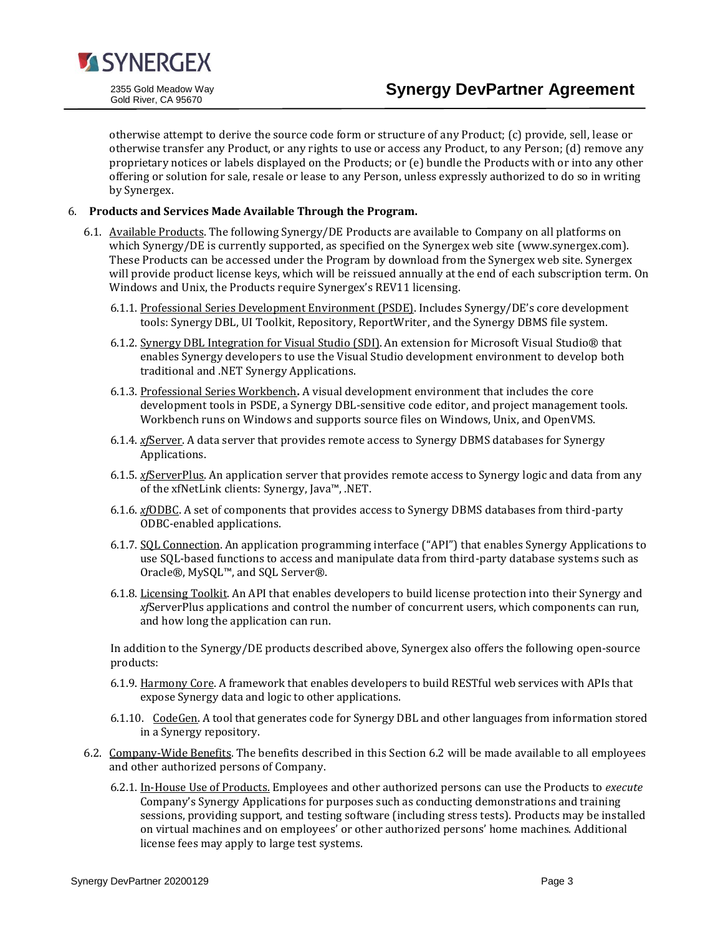

otherwise attempt to derive the source code form or structure of any Product; (c) provide, sell, lease or otherwise transfer any Product, or any rights to use or access any Product, to any Person; (d) remove any proprietary notices or labels displayed on the Products; or (e) bundle the Products with or into any other offering or solution for sale, resale or lease to any Person, unless expressly authorized to do so in writing by Synergex.

# 6. **Products and Services Made Available Through the Program.**

- 6.1. Available Products. The following Synergy/DE Products are available to Company on all platforms on which Synergy/DE is currently supported, as specified on the Synergex web site (www.synergex.com). These Products can be accessed under the Program by download from the Synergex web site. Synergex will provide product license keys, which will be reissued annually at the end of each subscription term. On Windows and Unix, the Products require Synergex's REV11 licensing.
	- 6.1.1. Professional Series Development Environment (PSDE). Includes Synergy/DE's core development tools: Synergy DBL, UI Toolkit, Repository, ReportWriter, and the Synergy DBMS file system.
	- 6.1.2. Synergy DBL Integration for Visual Studio (SDI). An extension for Microsoft Visual Studio® that enables Synergy developers to use the Visual Studio development environment to develop both traditional and .NET Synergy Applications.
	- 6.1.3. Professional Series Workbench**.** A visual development environment that includes the core development tools in PSDE, a Synergy DBL-sensitive code editor, and project management tools. Workbench runs on Windows and supports source files on Windows, Unix, and OpenVMS.
	- 6.1.4. *xf*Server. A data server that provides remote access to Synergy DBMS databases for Synergy Applications.
	- 6.1.5. *xf*ServerPlus. An application server that provides remote access to Synergy logic and data from any of the xfNetLink clients: Synergy, Java™, .NET.
	- 6.1.6. *xf*ODBC. A set of components that provides access to Synergy DBMS databases from third-party ODBC-enabled applications.
	- 6.1.7. SQL Connection. An application programming interface ("API") that enables Synergy Applications to use SQL-based functions to access and manipulate data from third-party database systems such as Oracle®, MySQL™, and SQL Server®.
	- 6.1.8. Licensing Toolkit. An API that enables developers to build license protection into their Synergy and *xf*ServerPlus applications and control the number of concurrent users, which components can run, and how long the application can run.

In addition to the Synergy/DE products described above, Synergex also offers the following open-source products:

- 6.1.9. Harmony Core. A framework that enables developers to build RESTful web services with APIs that expose Synergy data and logic to other applications.
- 6.1.10. CodeGen. A tool that generates code for Synergy DBL and other languages from information stored in a Synergy repository.
- 6.2. Company-Wide Benefits. The benefits described in this Section 6.2 will be made available to all employees and other authorized persons of Company.
	- 6.2.1. In-House Use of Products. Employees and other authorized persons can use the Products to *execute* Company's Synergy Applications for purposes such as conducting demonstrations and training sessions, providing support, and testing software (including stress tests). Products may be installed on virtual machines and on employees' or other authorized persons' home machines. Additional license fees may apply to large test systems.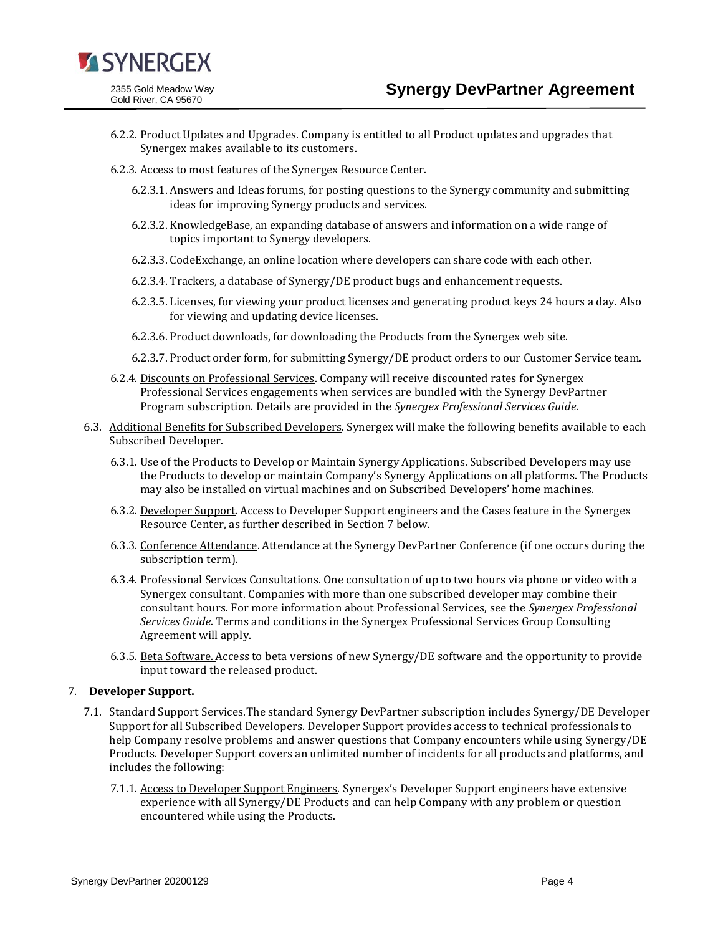

- 6.2.2. Product Updates and Upgrades. Company is entitled to all Product updates and upgrades that Synergex makes available to its customers.
- 6.2.3. Access to most features of the Synergex Resource Center.
	- 6.2.3.1. Answers and Ideas forums, for posting questions to the Synergy community and submitting ideas for improving Synergy products and services.
	- 6.2.3.2. KnowledgeBase, an expanding database of answers and information on a wide range of topics important to Synergy developers.
	- 6.2.3.3. CodeExchange, an online location where developers can share code with each other.
	- 6.2.3.4. Trackers, a database of Synergy/DE product bugs and enhancement requests.
	- 6.2.3.5. Licenses, for viewing your product licenses and generating product keys 24 hours a day. Also for viewing and updating device licenses.
	- 6.2.3.6. Product downloads, for downloading the Products from the Synergex web site.
	- 6.2.3.7. Product order form, for submitting Synergy/DE product orders to our Customer Service team.
- 6.2.4. Discounts on Professional Services. Company will receive discounted rates for Synergex Professional Services engagements when services are bundled with the Synergy DevPartner Program subscription. Details are provided in the *Synergex Professional Services Guide*.
- 6.3. Additional Benefits for Subscribed Developers. Synergex will make the following benefits available to each Subscribed Developer.
	- 6.3.1. Use of the Products to Develop or Maintain Synergy Applications. Subscribed Developers may use the Products to develop or maintain Company's Synergy Applications on all platforms. The Products may also be installed on virtual machines and on Subscribed Developers' home machines.
	- 6.3.2. Developer Support. Access to Developer Support engineers and the Cases feature in the Synergex Resource Center, as further described in Section 7 below.
	- 6.3.3. Conference Attendance. Attendance at the Synergy DevPartner Conference (if one occurs during the subscription term).
	- 6.3.4. Professional Services Consultations. One consultation of up to two hours via phone or video with a Synergex consultant. Companies with more than one subscribed developer may combine their consultant hours. For more information about Professional Services, see the *Synergex Professional Services Guide*. Terms and conditions in the Synergex Professional Services Group Consulting Agreement will apply.
	- 6.3.5. Beta Software. Access to beta versions of new Synergy/DE software and the opportunity to provide input toward the released product.

#### 7. **Developer Support.**

- 7.1. Standard Support Services. The standard Synergy DevPartner subscription includes Synergy/DE Developer Support for all Subscribed Developers. Developer Support provides access to technical professionals to help Company resolve problems and answer questions that Company encounters while using Synergy/DE Products. Developer Support covers an unlimited number of incidents for all products and platforms, and includes the following:
	- 7.1.1. Access to Developer Support Engineers. Synergex's Developer Support engineers have extensive experience with all Synergy/DE Products and can help Company with any problem or question encountered while using the Products.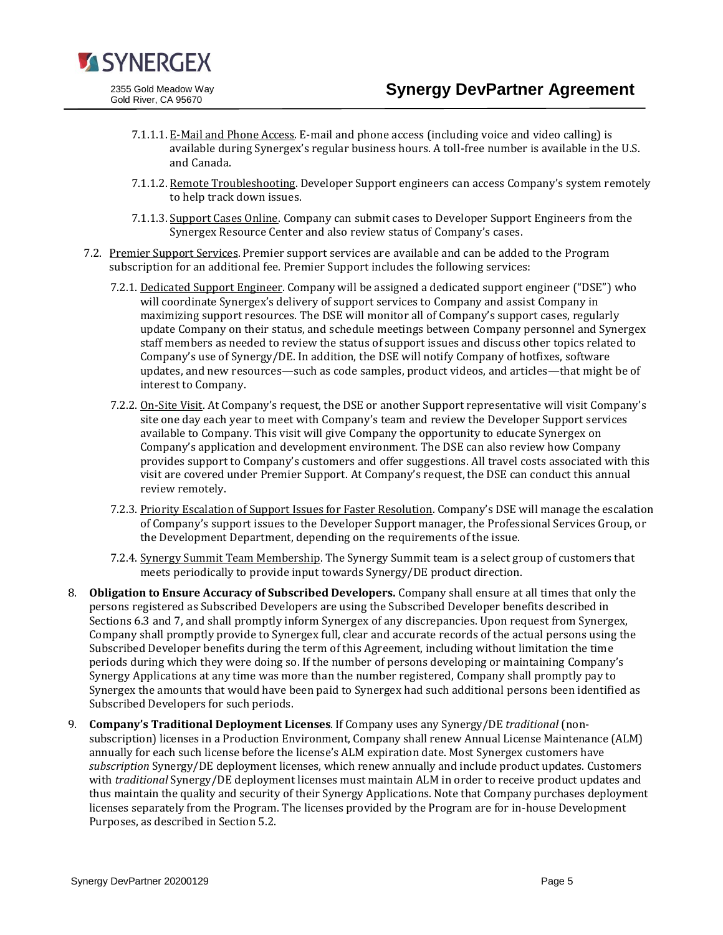

2355 Gold Meadow Way Gold River, CA 95670

- 7.1.1.1. E-Mail and Phone Access. E-mail and phone access (including voice and video calling) is available during Synergex's regular business hours. A toll-free number is available in the U.S. and Canada.
- 7.1.1.2. Remote Troubleshooting. Developer Support engineers can access Company's system remotely to help track down issues.
- 7.1.1.3. Support Cases Online. Company can submit cases to Developer Support Engineers from the Synergex Resource Center and also review status of Company's cases.
- 7.2. Premier Support Services. Premier support services are available and can be added to the Program subscription for an additional fee. Premier Support includes the following services:
	- 7.2.1. Dedicated Support Engineer. Company will be assigned a dedicated support engineer ("DSE") who will coordinate Synergex's delivery of support services to Company and assist Company in maximizing support resources. The DSE will monitor all of Company's support cases, regularly update Company on their status, and schedule meetings between Company personnel and Synergex staff members as needed to review the status of support issues and discuss other topics related to Company's use of Synergy/DE. In addition, the DSE will notify Company of hotfixes, software updates, and new resources—such as code samples, product videos, and articles—that might be of interest to Company.
	- 7.2.2. On-Site Visit. At Company's request, the DSE or another Support representative will visit Company's site one day each year to meet with Company's team and review the Developer Support services available to Company. This visit will give Company the opportunity to educate Synergex on Company's application and development environment. The DSE can also review how Company provides support to Company's customers and offer suggestions. All travel costs associated with this visit are covered under Premier Support. At Company's request, the DSE can conduct this annual review remotely.
	- 7.2.3. Priority Escalation of Support Issues for Faster Resolution. Company's DSE will manage the escalation of Company's support issues to the Developer Support manager, the Professional Services Group, or the Development Department, depending on the requirements of the issue.
	- 7.2.4. Synergy Summit Team Membership. The Synergy Summit team is a select group of customers that meets periodically to provide input towards Synergy/DE product direction.
- 8. **Obligation to Ensure Accuracy of Subscribed Developers.** Company shall ensure at all times that only the persons registered as Subscribed Developers are using the Subscribed Developer benefits described in Sections 6.3 and 7, and shall promptly inform Synergex of any discrepancies. Upon request from Synergex, Company shall promptly provide to Synergex full, clear and accurate records of the actual persons using the Subscribed Developer benefits during the term of this Agreement, including without limitation the time periods during which they were doing so. If the number of persons developing or maintaining Company's Synergy Applications at any time was more than the number registered, Company shall promptly pay to Synergex the amounts that would have been paid to Synergex had such additional persons been identified as Subscribed Developers for such periods.
- 9. **Company's Traditional Deployment Licenses**. If Company uses any Synergy/DE *traditional* (nonsubscription) licenses in a Production Environment, Company shall renew Annual License Maintenance (ALM) annually for each such license before the license's ALM expiration date. Most Synergex customers have *subscription* Synergy/DE deployment licenses, which renew annually and include product updates. Customers with *traditional* Synergy/DE deployment licenses must maintain ALM in order to receive product updates and thus maintain the quality and security of their Synergy Applications. Note that Company purchases deployment licenses separately from the Program. The licenses provided by the Program are for in-house Development Purposes, as described in Section 5.2.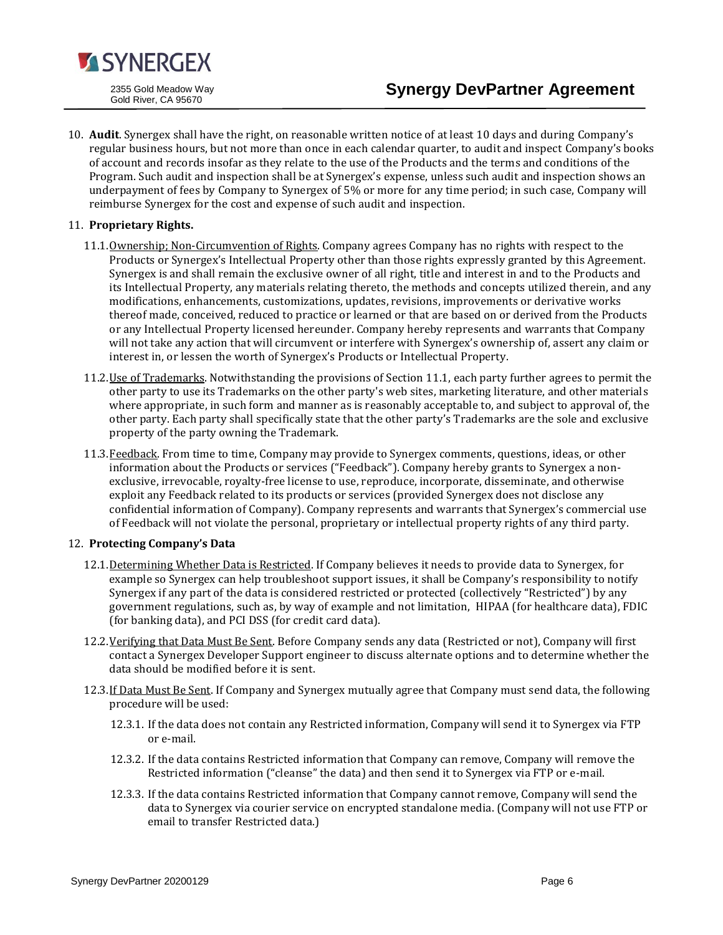

10. **Audit**. Synergex shall have the right, on reasonable written notice of at least 10 days and during Company's regular business hours, but not more than once in each calendar quarter, to audit and inspect Company's books of account and records insofar as they relate to the use of the Products and the terms and conditions of the Program. Such audit and inspection shall be at Synergex's expense, unless such audit and inspection shows an underpayment of fees by Company to Synergex of 5% or more for any time period; in such case, Company will reimburse Synergex for the cost and expense of such audit and inspection.

# 11. **Proprietary Rights.**

- 11.1.Ownership; Non-Circumvention of Rights. Company agrees Company has no rights with respect to the Products or Synergex's Intellectual Property other than those rights expressly granted by this Agreement. Synergex is and shall remain the exclusive owner of all right, title and interest in and to the Products and its Intellectual Property, any materials relating thereto, the methods and concepts utilized therein, and any modifications, enhancements, customizations, updates, revisions, improvements or derivative works thereof made, conceived, reduced to practice or learned or that are based on or derived from the Products or any Intellectual Property licensed hereunder. Company hereby represents and warrants that Company will not take any action that will circumvent or interfere with Synergex's ownership of, assert any claim or interest in, or lessen the worth of Synergex's Products or Intellectual Property.
- 11.2. Use of Trademarks. Notwithstanding the provisions of Section 11.1, each party further agrees to permit the other party to use its Trademarks on the other party's web sites, marketing literature, and other materials where appropriate, in such form and manner as is reasonably acceptable to, and subject to approval of, the other party. Each party shall specifically state that the other party's Trademarks are the sole and exclusive property of the party owning the Trademark.
- 11.3. Feedback. From time to time, Company may provide to Synergex comments, questions, ideas, or other information about the Products or services ("Feedback"). Company hereby grants to Synergex a nonexclusive, irrevocable, royalty-free license to use, reproduce, incorporate, disseminate, and otherwise exploit any Feedback related to its products or services (provided Synergex does not disclose any confidential information of Company). Company represents and warrants that Synergex's commercial use of Feedback will not violate the personal, proprietary or intellectual property rights of any third party.

# 12. **Protecting Company's Data**

- 12.1. Determining Whether Data is Restricted. If Company believes it needs to provide data to Synergex, for example so Synergex can help troubleshoot support issues, it shall be Company's responsibility to notify Synergex if any part of the data is considered restricted or protected (collectively "Restricted") by any government regulations, such as, by way of example and not limitation, HIPAA (for healthcare data), FDIC (for banking data), and PCI DSS (for credit card data).
- 12.2. Verifying that Data Must Be Sent. Before Company sends any data (Restricted or not), Company will first contact a Synergex Developer Support engineer to discuss alternate options and to determine whether the data should be modified before it is sent.
- 12.3. If Data Must Be Sent. If Company and Synergex mutually agree that Company must send data, the following procedure will be used:
	- 12.3.1. If the data does not contain any Restricted information, Company will send it to Synergex via FTP or e-mail.
	- 12.3.2. If the data contains Restricted information that Company can remove, Company will remove the Restricted information ("cleanse" the data) and then send it to Synergex via FTP or e-mail.
	- 12.3.3. If the data contains Restricted information that Company cannot remove, Company will send the data to Synergex via courier service on encrypted standalone media. (Company will not use FTP or email to transfer Restricted data.)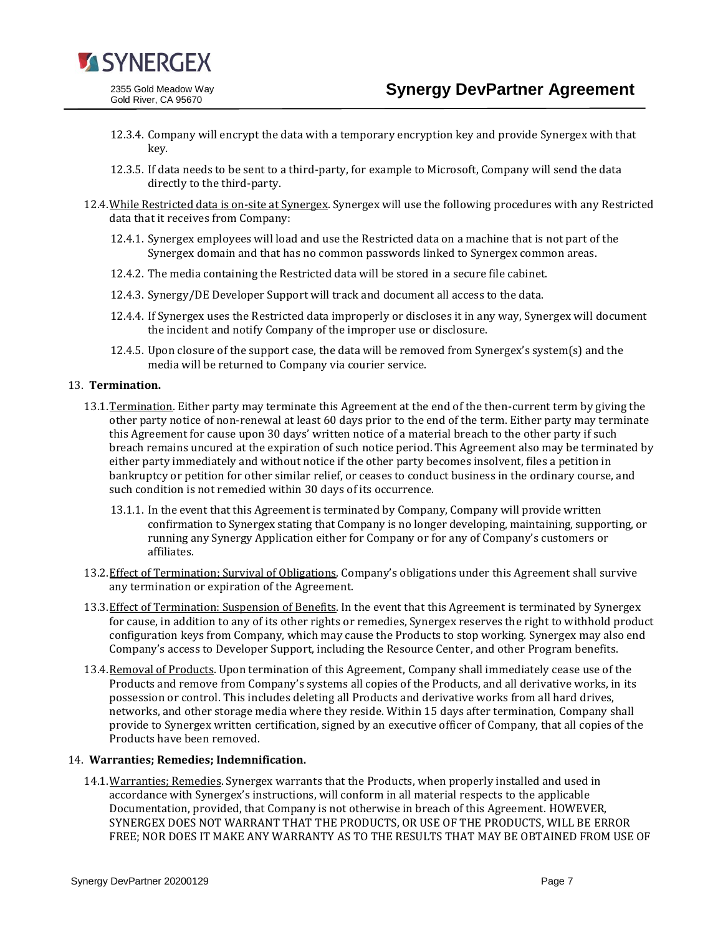

- 12.3.4. Company will encrypt the data with a temporary encryption key and provide Synergex with that key.
- 12.3.5. If data needs to be sent to a third-party, for example to Microsoft, Company will send the data directly to the third-party.
- 12.4.While Restricted data is on-site at Synergex. Synergex will use the following procedures with any Restricted data that it receives from Company:
	- 12.4.1. Synergex employees will load and use the Restricted data on a machine that is not part of the Synergex domain and that has no common passwords linked to Synergex common areas.
	- 12.4.2. The media containing the Restricted data will be stored in a secure file cabinet.
	- 12.4.3. Synergy/DE Developer Support will track and document all access to the data.
	- 12.4.4. If Synergex uses the Restricted data improperly or discloses it in any way, Synergex will document the incident and notify Company of the improper use or disclosure.
	- 12.4.5. Upon closure of the support case, the data will be removed from Synergex's system(s) and the media will be returned to Company via courier service.

#### 13. **Termination.**

- 13.1.Termination. Either party may terminate this Agreement at the end of the then-current term by giving the other party notice of non-renewal at least 60 days prior to the end of the term. Either party may terminate this Agreement for cause upon 30 days' written notice of a material breach to the other party if such breach remains uncured at the expiration of such notice period. This Agreement also may be terminated by either party immediately and without notice if the other party becomes insolvent, files a petition in bankruptcy or petition for other similar relief, or ceases to conduct business in the ordinary course, and such condition is not remedied within 30 days of its occurrence.
	- 13.1.1. In the event that this Agreement is terminated by Company, Company will provide written confirmation to Synergex stating that Company is no longer developing, maintaining, supporting, or running any Synergy Application either for Company or for any of Company's customers or affiliates.
- 13.2.Effect of Termination; Survival of Obligations. Company's obligations under this Agreement shall survive any termination or expiration of the Agreement.
- 13.3. Effect of Termination: Suspension of Benefits. In the event that this Agreement is terminated by Synergex for cause, in addition to any of its other rights or remedies, Synergex reserves the right to withhold product configuration keys from Company, which may cause the Products to stop working. Synergex may also end Company's access to Developer Support, including the Resource Center, and other Program benefits.
- 13.4. Removal of Products. Upon termination of this Agreement, Company shall immediately cease use of the Products and remove from Company's systems all copies of the Products, and all derivative works, in its possession or control. This includes deleting all Products and derivative works from all hard drives, networks, and other storage media where they reside. Within 15 days after termination, Company shall provide to Synergex written certification, signed by an executive officer of Company, that all copies of the Products have been removed.

#### 14. **Warranties; Remedies; Indemnification.**

14.1. Warranties; Remedies. Synergex warrants that the Products, when properly installed and used in accordance with Synergex's instructions, will conform in all material respects to the applicable Documentation, provided, that Company is not otherwise in breach of this Agreement. HOWEVER, SYNERGEX DOES NOT WARRANT THAT THE PRODUCTS, OR USE OF THE PRODUCTS, WILL BE ERROR FREE; NOR DOES IT MAKE ANY WARRANTY AS TO THE RESULTS THAT MAY BE OBTAINED FROM USE OF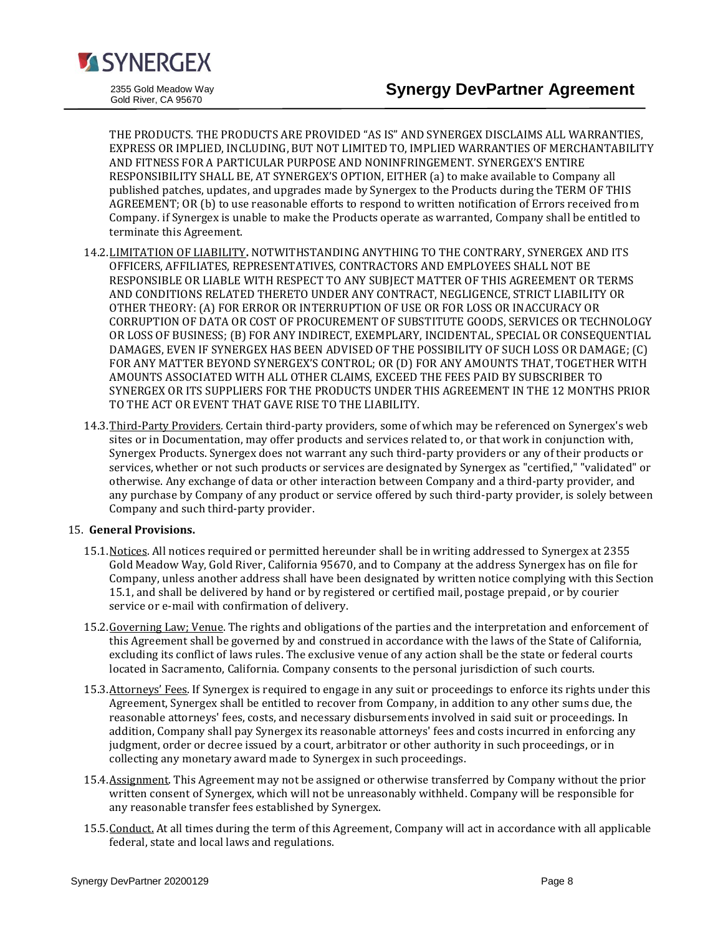

THE PRODUCTS. THE PRODUCTS ARE PROVIDED "AS IS" AND SYNERGEX DISCLAIMS ALL WARRANTIES, EXPRESS OR IMPLIED, INCLUDING, BUT NOT LIMITED TO, IMPLIED WARRANTIES OF MERCHANTABILITY AND FITNESS FOR A PARTICULAR PURPOSE AND NONINFRINGEMENT. SYNERGEX'S ENTIRE RESPONSIBILITY SHALL BE, AT SYNERGEX'S OPTION, EITHER (a) to make available to Company all published patches, updates, and upgrades made by Synergex to the Products during the TERM OF THIS AGREEMENT; OR (b) to use reasonable efforts to respond to written notification of Errors received from Company. if Synergex is unable to make the Products operate as warranted, Company shall be entitled to terminate this Agreement.

- 14.2.LIMITATION OF LIABILITY**.** NOTWITHSTANDING ANYTHING TO THE CONTRARY, SYNERGEX AND ITS OFFICERS, AFFILIATES, REPRESENTATIVES, CONTRACTORS AND EMPLOYEES SHALL NOT BE RESPONSIBLE OR LIABLE WITH RESPECT TO ANY SUBJECT MATTER OF THIS AGREEMENT OR TERMS AND CONDITIONS RELATED THERETO UNDER ANY CONTRACT, NEGLIGENCE, STRICT LIABILITY OR OTHER THEORY: (A) FOR ERROR OR INTERRUPTION OF USE OR FOR LOSS OR INACCURACY OR CORRUPTION OF DATA OR COST OF PROCUREMENT OF SUBSTITUTE GOODS, SERVICES OR TECHNOLOGY OR LOSS OF BUSINESS; (B) FOR ANY INDIRECT, EXEMPLARY, INCIDENTAL, SPECIAL OR CONSEQUENTIAL DAMAGES, EVEN IF SYNERGEX HAS BEEN ADVISED OF THE POSSIBILITY OF SUCH LOSS OR DAMAGE; (C) FOR ANY MATTER BEYOND SYNERGEX'S CONTROL; OR (D) FOR ANY AMOUNTS THAT, TOGETHER WITH AMOUNTS ASSOCIATED WITH ALL OTHER CLAIMS, EXCEED THE FEES PAID BY SUBSCRIBER TO SYNERGEX OR ITS SUPPLIERS FOR THE PRODUCTS UNDER THIS AGREEMENT IN THE 12 MONTHS PRIOR TO THE ACT OR EVENT THAT GAVE RISE TO THE LIABILITY.
- 14.3. Third-Party Providers. Certain third-party providers, some of which may be referenced on Synergex's web sites or in Documentation, may offer products and services related to, or that work in conjunction with, Synergex Products. Synergex does not warrant any such third-party providers or any of their products or services, whether or not such products or services are designated by Synergex as "certified," "validated" or otherwise. Any exchange of data or other interaction between Company and a third-party provider, and any purchase by Company of any product or service offered by such third-party provider, is solely between Company and such third-party provider.

# 15. **General Provisions.**

- 15.1. Notices. All notices required or permitted hereunder shall be in writing addressed to Synergex at 2355 Gold Meadow Way, Gold River, California 95670, and to Company at the address Synergex has on file for Company, unless another address shall have been designated by written notice complying with this Section 15.1, and shall be delivered by hand or by registered or certified mail, postage prepaid, or by courier service or e-mail with confirmation of delivery.
- 15.2.Governing Law; Venue. The rights and obligations of the parties and the interpretation and enforcement of this Agreement shall be governed by and construed in accordance with the laws of the State of California, excluding its conflict of laws rules. The exclusive venue of any action shall be the state or federal courts located in Sacramento, California. Company consents to the personal jurisdiction of such courts.
- 15.3.Attorneys' Fees. If Synergex is required to engage in any suit or proceedings to enforce its rights under this Agreement, Synergex shall be entitled to recover from Company, in addition to any other sums due, the reasonable attorneys' fees, costs, and necessary disbursements involved in said suit or proceedings. In addition, Company shall pay Synergex its reasonable attorneys' fees and costs incurred in enforcing any judgment, order or decree issued by a court, arbitrator or other authority in such proceedings, or in collecting any monetary award made to Synergex in such proceedings.
- 15.4. Assignment. This Agreement may not be assigned or otherwise transferred by Company without the prior written consent of Synergex, which will not be unreasonably withheld. Company will be responsible for any reasonable transfer fees established by Synergex.
- 15.5. Conduct. At all times during the term of this Agreement, Company will act in accordance with all applicable federal, state and local laws and regulations.